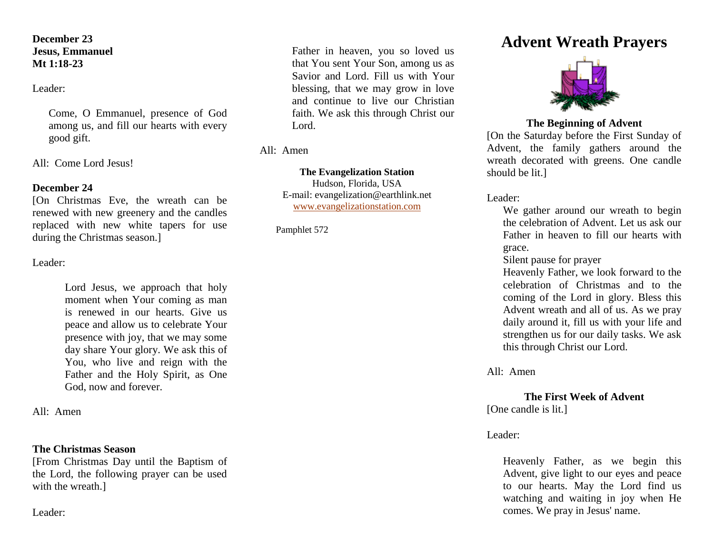### **December 23 Jesus, Emmanuel Mt 1:18-23**

Leader:

Come, O Emmanuel, presence of God among us, and fill our hearts with every good gift.

All: Come Lord Jesus!

## **December 24**

[On Christmas Eve, the wreath can be renewed with new greenery and the candles replaced with new white tapers for use during the Christmas season.]

Leader:

Lord Jesus, we approach that holy moment when Your coming as man is renewed in our hearts. Give us peace and allow us to celebrate Your presence with joy, that we may some day share Your glory. We ask this of You, who live and reign with the Father and the Holy Spirit, as One God, now and forever.

All: Amen

### **The Christmas Season**

[From Christmas Day until the Baptism of the Lord, the following prayer can be used with the wreath.]

Leader:

Father in heaven, you so loved us that You sent Your Son, among us as Savior and Lord. Fill us with Your blessing, that we may grow in love and continue to live our Christian faith. We ask this through Christ our Lord.

All: Amen

**The Evangelization Station**

Hudson, Florida, USA E-mail: evangelization@earthlink.net [www.evangelizationstation.com](http://www.pjpiisoe.org/)

Pamphlet 572

# **Advent Wreath Prayers**



### **The Beginning of Advent**

[On the Saturday before the First Sunday of Advent, the family gathers around the wreath decorated with greens. One candle should be lit.]

Leader:

We gather around our wreath to begin the celebration of Advent. Let us ask our Father in heaven to fill our hearts with grace.

Silent pause for prayer

Heavenly Father, we look forward to the celebration of Christmas and to the coming of the Lord in glory. Bless this Advent wreath and all of us. As we pray daily around it, fill us with your life and strengthen us for our daily tasks. We ask this through Christ our Lord.

All: Amen

**The First Week of Advent**

[One candle is lit.]

### Leader:

Heavenly Father, as we begin this Advent, give light to our eyes and peace to our hearts. May the Lord find us watching and waiting in joy when He comes. We pray in Jesus' name.